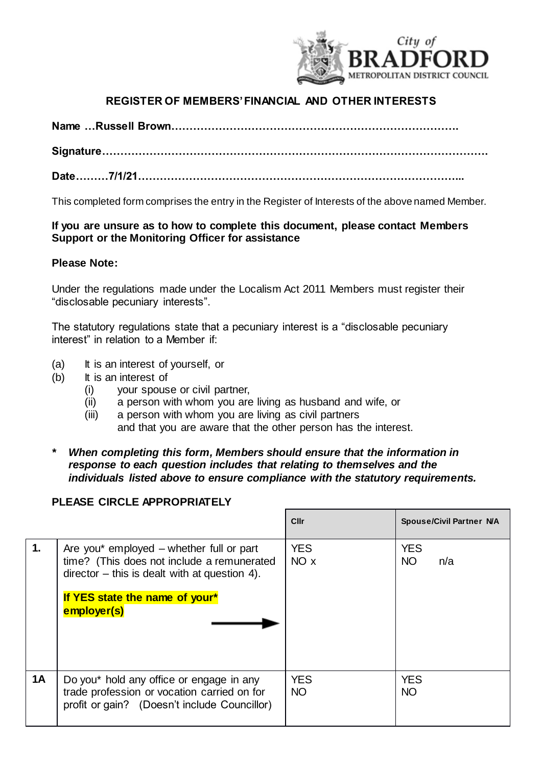

## **REGISTER OF MEMBERS' FINANCIAL AND OTHER INTERESTS**

**Name …Russell Brown…………………………………………………………………….**

**Signature…………………………………………………………………………………………….**

**Date………7/1/21……………………………………………………………………………...**

This completed form comprises the entry in the Register of Interests of the above named Member.

## **If you are unsure as to how to complete this document, please contact Members Support or the Monitoring Officer for assistance**

## **Please Note:**

Under the regulations made under the Localism Act 2011 Members must register their "disclosable pecuniary interests".

The statutory regulations state that a pecuniary interest is a "disclosable pecuniary interest" in relation to a Member if:

- (a) It is an interest of yourself, or
- (b) It is an interest of
	- (i) your spouse or civil partner,
	- (ii) a person with whom you are living as husband and wife, or
	- (iii) a person with whom you are living as civil partners and that you are aware that the other person has the interest.
- *\* When completing this form, Members should ensure that the information in response to each question includes that relating to themselves and the individuals listed above to ensure compliance with the statutory requirements.*

## **PLEASE CIRCLE APPROPRIATELY**

|                |                                                                                                                                                                               | Cllr                    | <b>Spouse/Civil Partner N/A</b> |
|----------------|-------------------------------------------------------------------------------------------------------------------------------------------------------------------------------|-------------------------|---------------------------------|
| $\mathbf{1}$ . | Are you* employed $-$ whether full or part<br>time? (This does not include a remunerated<br>$director - this$ is dealt with at question 4).<br>If YES state the name of your* | <b>YES</b><br>NO x      | <b>YES</b><br><b>NO</b><br>n/a  |
|                | employer(s)                                                                                                                                                                   |                         |                                 |
| <b>1A</b>      | Do you* hold any office or engage in any<br>trade profession or vocation carried on for<br>profit or gain? (Doesn't include Councillor)                                       | <b>YES</b><br><b>NO</b> | <b>YES</b><br><b>NO</b>         |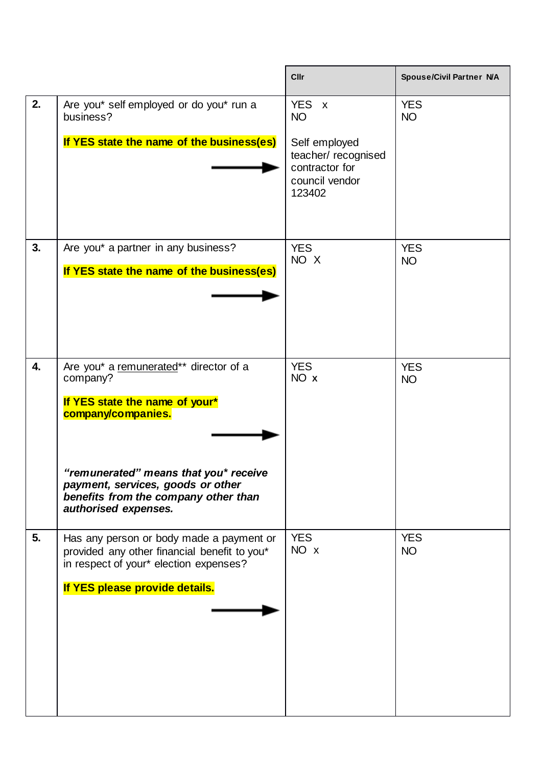|    |                                                                                                                                                                                                                                                          | <b>Cllr</b>                                                                                                                  | <b>Spouse/Civil Partner N/A</b> |
|----|----------------------------------------------------------------------------------------------------------------------------------------------------------------------------------------------------------------------------------------------------------|------------------------------------------------------------------------------------------------------------------------------|---------------------------------|
| 2. | Are you* self employed or do you* run a<br>business?<br>If YES state the name of the business(es)                                                                                                                                                        | <b>YES</b><br>$\mathsf{X}$<br><b>NO</b><br>Self employed<br>teacher/recognised<br>contractor for<br>council vendor<br>123402 | <b>YES</b><br><b>NO</b>         |
| 3. | Are you* a partner in any business?<br>If YES state the name of the business(es)                                                                                                                                                                         | <b>YES</b><br>NO X                                                                                                           | <b>YES</b><br><b>NO</b>         |
| 4. | Are you* a remunerated** director of a<br>company?<br>If YES state the name of your*<br>company/companies.<br>"remunerated" means that you* receive<br>payment, services, goods or other<br>benefits from the company other than<br>authorised expenses. | <b>YES</b><br>NO x                                                                                                           | <b>YES</b><br><b>NO</b>         |
| 5. | Has any person or body made a payment or<br>provided any other financial benefit to you*<br>in respect of your* election expenses?<br>If YES please provide details.                                                                                     | <b>YES</b><br>NO x                                                                                                           | <b>YES</b><br><b>NO</b>         |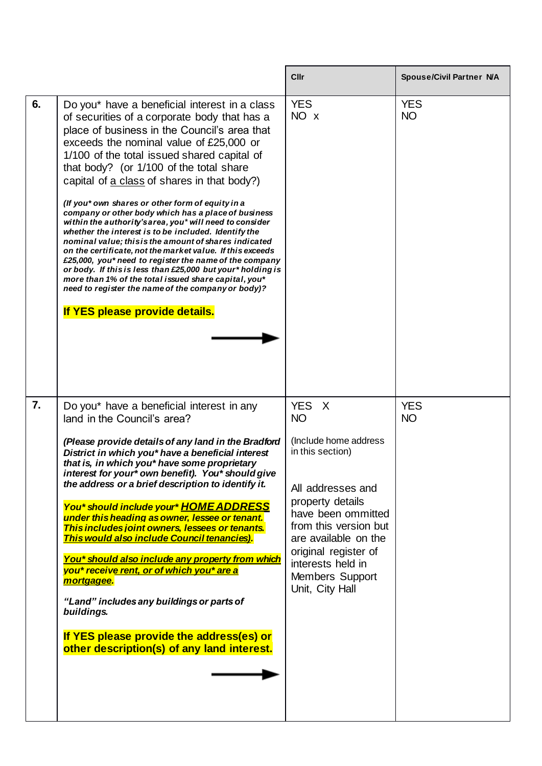|    |                                                                                                                                                                                                                                                                                                                                                                                                                                                                                                                                                                                                                                                                                                                                                                                                                                                                                                                                                               | Cllr                                                                                                                                                                                                                                                               | <b>Spouse/Civil Partner N/A</b> |
|----|---------------------------------------------------------------------------------------------------------------------------------------------------------------------------------------------------------------------------------------------------------------------------------------------------------------------------------------------------------------------------------------------------------------------------------------------------------------------------------------------------------------------------------------------------------------------------------------------------------------------------------------------------------------------------------------------------------------------------------------------------------------------------------------------------------------------------------------------------------------------------------------------------------------------------------------------------------------|--------------------------------------------------------------------------------------------------------------------------------------------------------------------------------------------------------------------------------------------------------------------|---------------------------------|
| 6. | Do you* have a beneficial interest in a class<br>of securities of a corporate body that has a<br>place of business in the Council's area that<br>exceeds the nominal value of £25,000 or<br>1/100 of the total issued shared capital of<br>that body? (or 1/100 of the total share<br>capital of a class of shares in that body?)<br>(If you* own shares or other form of equity in a<br>company or other body which has a place of business<br>within the authority's area, you* will need to consider<br>whether the interest is to be included. Identify the<br>nominal value; this is the amount of shares indicated<br>on the certificate, not the market value. If this exceeds<br>£25,000, you* need to register the name of the company<br>or body. If this is less than £25,000 but your* holding is<br>more than 1% of the total issued share capital, you*<br>need to register the name of the company or body)?<br>If YES please provide details. | <b>YES</b><br>NO x                                                                                                                                                                                                                                                 | <b>YES</b><br><b>NO</b>         |
| 7. | Do you* have a beneficial interest in any<br>land in the Council's area?<br>(Please provide details of any land in the Bradford<br>District in which you* have a beneficial interest<br>that is, in which you* have some proprietary<br>interest for your* own benefit). You* should give<br>the address or a brief description to identify it.<br>You* should include your* HOME ADDRESS<br>under this heading as owner, lessee or tenant.<br>This includes joint owners, lessees or tenants.<br><b>This would also include Council tenancies).</b><br>You* should also include any property from which<br>you* receive rent, or of which you* are a<br>mortgagee.<br>"Land" includes any buildings or parts of<br>buildings.<br>If YES please provide the address(es) or<br>other description(s) of any land interest.                                                                                                                                      | YES X<br><b>NO</b><br>(Include home address<br>in this section)<br>All addresses and<br>property details<br>have been ommitted<br>from this version but<br>are available on the<br>original register of<br>interests held in<br>Members Support<br>Unit, City Hall | <b>YES</b><br><b>NO</b>         |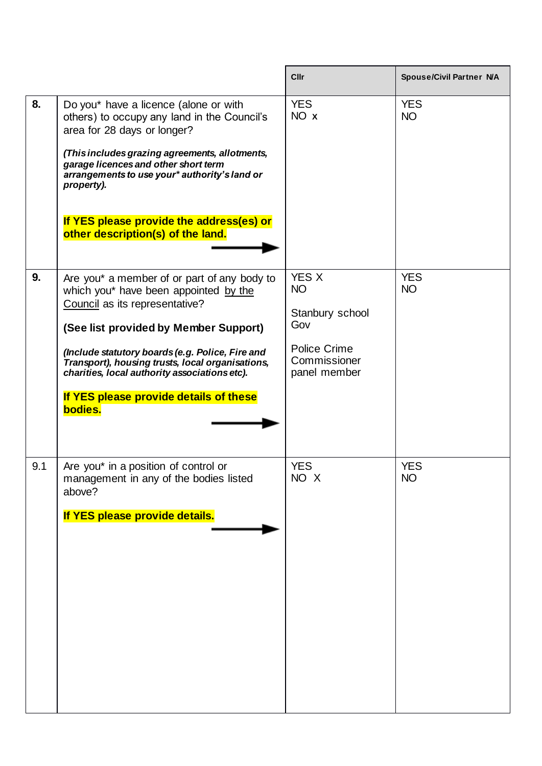|     |                                                                                                                                                                                                                                                                                                                                                                               | <b>Cllr</b>                                                                                         | <b>Spouse/Civil Partner N/A</b> |
|-----|-------------------------------------------------------------------------------------------------------------------------------------------------------------------------------------------------------------------------------------------------------------------------------------------------------------------------------------------------------------------------------|-----------------------------------------------------------------------------------------------------|---------------------------------|
| 8.  | Do you* have a licence (alone or with<br>others) to occupy any land in the Council's<br>area for 28 days or longer?<br>(This includes grazing agreements, allotments,<br>garage licences and other short term<br>arrangements to use your* authority's land or<br>property).<br>If YES please provide the address(es) or<br>other description(s) of the land.                 | <b>YES</b><br>NO x                                                                                  | <b>YES</b><br><b>NO</b>         |
| 9.  | Are you* a member of or part of any body to<br>which you* have been appointed by the<br>Council as its representative?<br>(See list provided by Member Support)<br>(Include statutory boards (e.g. Police, Fire and<br>Transport), housing trusts, local organisations,<br>charities, local authority associations etc).<br>If YES please provide details of these<br>bodies. | <b>YES X</b><br><b>NO</b><br>Stanbury school<br>Gov<br>Police Crime<br>Commissioner<br>panel member | <b>YES</b><br><b>NO</b>         |
| 9.1 | Are you* in a position of control or<br>management in any of the bodies listed<br>above?<br>If YES please provide details.                                                                                                                                                                                                                                                    | <b>YES</b><br>NO X                                                                                  | <b>YES</b><br><b>NO</b>         |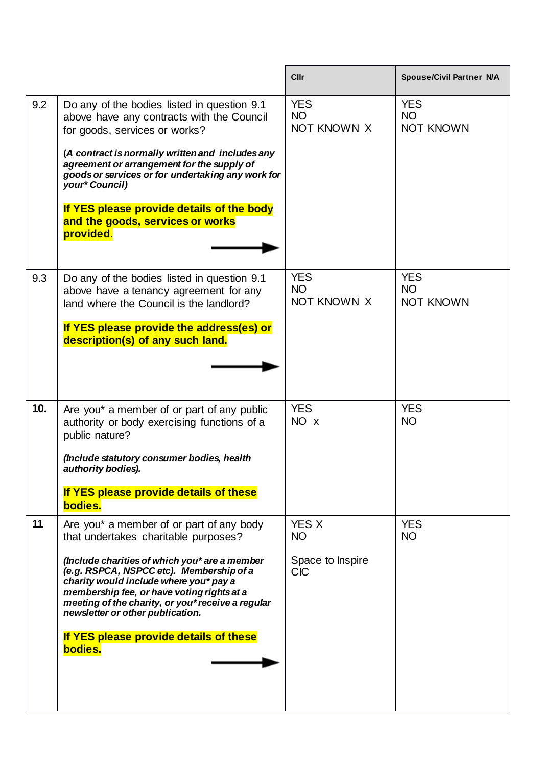|     |                                                                                                                                                                                                                                                                                                                                                                                                                     | Cllr                                                        | <b>Spouse/Civil Partner N/A</b>             |
|-----|---------------------------------------------------------------------------------------------------------------------------------------------------------------------------------------------------------------------------------------------------------------------------------------------------------------------------------------------------------------------------------------------------------------------|-------------------------------------------------------------|---------------------------------------------|
| 9.2 | Do any of the bodies listed in question 9.1<br>above have any contracts with the Council<br>for goods, services or works?<br>(A contract is normally written and includes any<br>agreement or arrangement for the supply of<br>goods or services or for undertaking any work for<br>your* Council)<br>If YES please provide details of the body<br>and the goods, services or works<br>provided.                    | <b>YES</b><br><b>NO</b><br>NOT KNOWN X                      | <b>YES</b><br><b>NO</b><br><b>NOT KNOWN</b> |
| 9.3 | Do any of the bodies listed in question 9.1<br>above have a tenancy agreement for any<br>land where the Council is the landlord?<br>If YES please provide the address(es) or<br>description(s) of any such land.                                                                                                                                                                                                    | <b>YES</b><br><b>NO</b><br>NOT KNOWN X                      | <b>YES</b><br><b>NO</b><br><b>NOT KNOWN</b> |
| 10. | Are you* a member of or part of any public<br>authority or body exercising functions of a<br>public nature?<br>(Include statutory consumer bodies, health<br>authority bodies).<br>If YES please provide details of these<br>bodies.                                                                                                                                                                                | <b>YES</b><br>NO x                                          | <b>YES</b><br><b>NO</b>                     |
| 11  | Are you* a member of or part of any body<br>that undertakes charitable purposes?<br>(Include charities of which you* are a member<br>(e.g. RSPCA, NSPCC etc). Membership of a<br>charity would include where you* pay a<br>membership fee, or have voting rights at a<br>meeting of the charity, or you* receive a regular<br>newsletter or other publication.<br>If YES please provide details of these<br>bodies. | <b>YES X</b><br><b>NO</b><br>Space to Inspire<br><b>CIC</b> | <b>YES</b><br><b>NO</b>                     |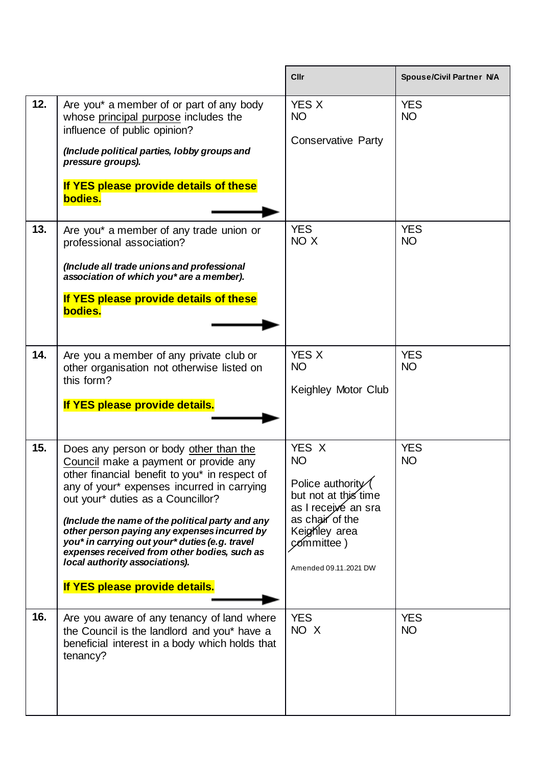|     |                                                                                                                                                                                                                                                                                                                                                                                                                                                                                               | <b>Cllr</b>                                                                                                                                                      | <b>Spouse/Civil Partner N/A</b> |
|-----|-----------------------------------------------------------------------------------------------------------------------------------------------------------------------------------------------------------------------------------------------------------------------------------------------------------------------------------------------------------------------------------------------------------------------------------------------------------------------------------------------|------------------------------------------------------------------------------------------------------------------------------------------------------------------|---------------------------------|
| 12. | Are you* a member of or part of any body<br>whose principal purpose includes the<br>influence of public opinion?<br>(Include political parties, lobby groups and<br>pressure groups).<br>If YES please provide details of these<br>bodies.                                                                                                                                                                                                                                                    | <b>YES X</b><br><b>NO</b><br><b>Conservative Party</b>                                                                                                           | <b>YES</b><br><b>NO</b>         |
| 13. | Are you* a member of any trade union or<br>professional association?<br>(Include all trade unions and professional<br>association of which you* are a member).<br>If YES please provide details of these<br>bodies.                                                                                                                                                                                                                                                                           | <b>YES</b><br>NO X                                                                                                                                               | <b>YES</b><br><b>NO</b>         |
| 14. | Are you a member of any private club or<br>other organisation not otherwise listed on<br>this form?<br>If YES please provide details.                                                                                                                                                                                                                                                                                                                                                         | <b>YES X</b><br><b>NO</b><br>Keighley Motor Club                                                                                                                 | <b>YES</b><br><b>NO</b>         |
| 15. | Does any person or body other than the<br>Council make a payment or provide any<br>other financial benefit to you* in respect of<br>any of your* expenses incurred in carrying<br>out your* duties as a Councillor?<br>(Include the name of the political party and any<br>other person paying any expenses incurred by<br>you* in carrying out your* duties (e.g. travel<br>expenses received from other bodies, such as<br>local authority associations).<br>If YES please provide details. | YES X<br><b>NO</b><br>Police authority<br>but not at this time<br>as I receive an sra<br>as chair of the<br>Keighley area<br>committee)<br>Amended 09.11.2021 DW | <b>YES</b><br><b>NO</b>         |
| 16. | Are you aware of any tenancy of land where<br>the Council is the landlord and you* have a<br>beneficial interest in a body which holds that<br>tenancy?                                                                                                                                                                                                                                                                                                                                       | <b>YES</b><br>NO X                                                                                                                                               | <b>YES</b><br><b>NO</b>         |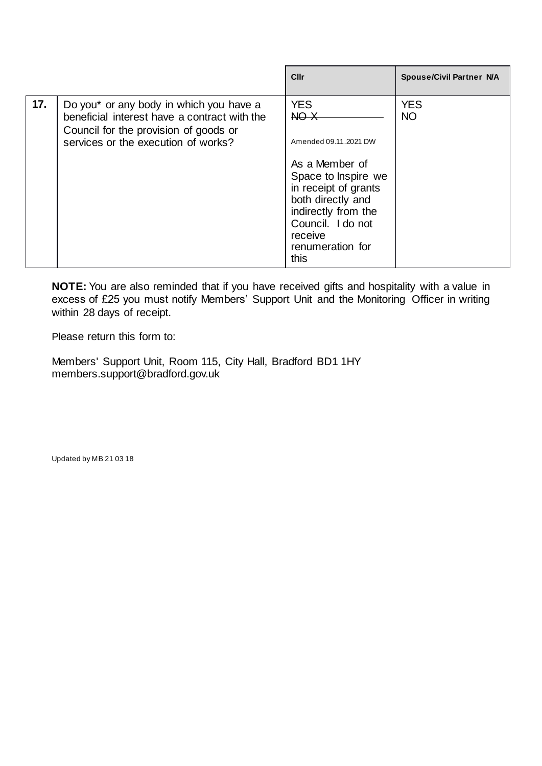| 17.<br><b>YES</b><br><b>YES</b><br>Do you* or any body in which you have a<br>NO X<br>NO <sub>1</sub><br>beneficial interest have a contract with the<br>Council for the provision of goods or<br>services or the execution of works?<br>Amended 09.11.2021 DW |  | Cllr | <b>Spouse/Civil Partner N/A</b> |
|----------------------------------------------------------------------------------------------------------------------------------------------------------------------------------------------------------------------------------------------------------------|--|------|---------------------------------|
| As a Member of<br>Space to Inspire we<br>in receipt of grants<br>both directly and<br>indirectly from the<br>Council. I do not<br>receive<br>renumeration for<br>this                                                                                          |  |      |                                 |

**NOTE:** You are also reminded that if you have received gifts and hospitality with a value in excess of £25 you must notify Members' Support Unit and the Monitoring Officer in writing within 28 days of receipt.

Please return this form to:

Members' Support Unit, Room 115, City Hall, Bradford BD1 1HY [members.support@bradford.gov.uk](mailto:members.support@bradford.gov.uk)

Updated by MB 21 03 18